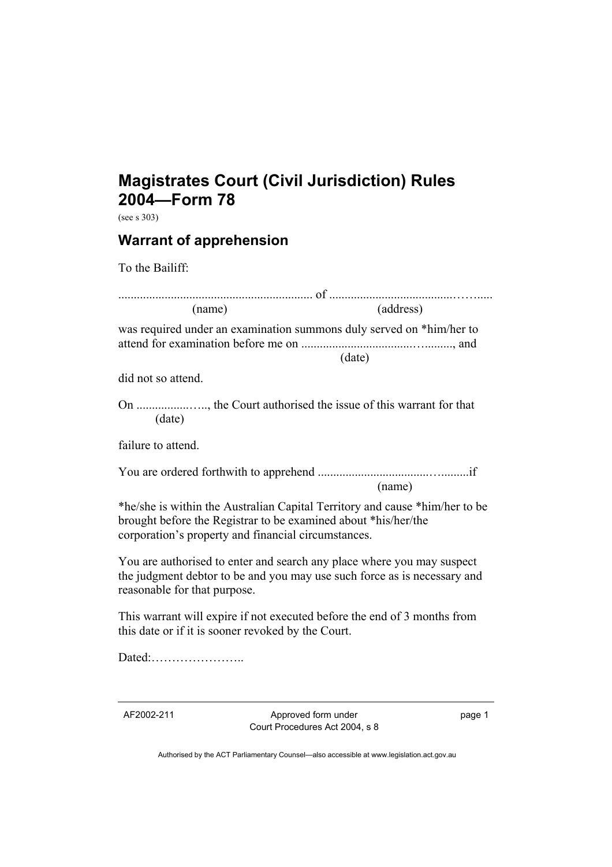## **Magistrates Court (Civil Jurisdiction) Rules 2004—Form 78**

(see s 303)

## **Warrant of apprehension**

To the Bailiff:

| (name)                                                                                                                                                                                               | (address) |
|------------------------------------------------------------------------------------------------------------------------------------------------------------------------------------------------------|-----------|
| was required under an examination summons duly served on *him/her to                                                                                                                                 | (data)    |
| did not so attend.                                                                                                                                                                                   |           |
| (date)                                                                                                                                                                                               |           |
| failure to attend.                                                                                                                                                                                   |           |
|                                                                                                                                                                                                      | (name)    |
| *he/she is within the Australian Capital Territory and cause *him/her to be<br>brought before the Registrar to be examined about *his/her/the<br>corporation's property and financial circumstances. |           |
| You are authorised to enter and search any place where you may suspect<br>the judgment debtor to be and you may use such force as is necessary and<br>reasonable for that purpose.                   |           |
| This warrant will expire if not executed before the end of 3 months from<br>this date or if it is sooner revoked by the Court.                                                                       |           |
| Dated:                                                                                                                                                                                               |           |
|                                                                                                                                                                                                      |           |

AF2002-211 Approved form under Court Procedures Act 2004, s 8 page 1

Authorised by the ACT Parliamentary Counsel—also accessible at www.legislation.act.gov.au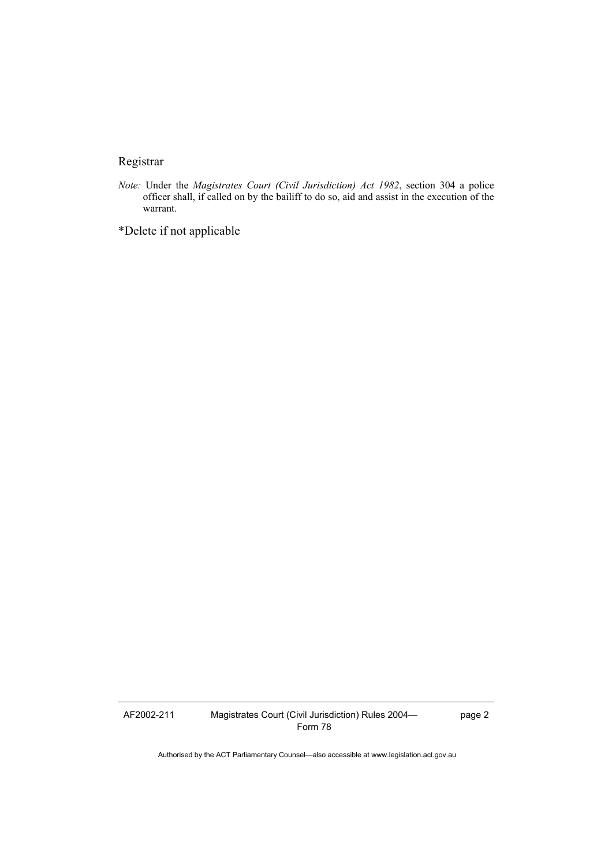## Registrar

*Note:* Under the *Magistrates Court (Civil Jurisdiction) Act 1982*, section 304 a police officer shall, if called on by the bailiff to do so, aid and assist in the execution of the warrant.

\*Delete if not applicable

AF2002-211 Magistrates Court (Civil Jurisdiction) Rules 2004— Form 78

page 2

Authorised by the ACT Parliamentary Counsel—also accessible at www.legislation.act.gov.au